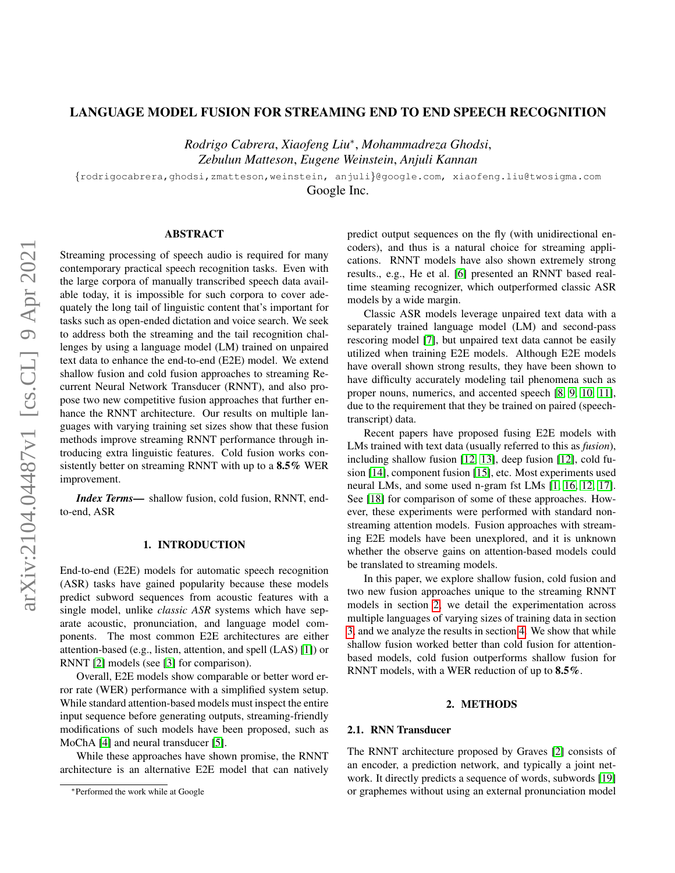# LANGUAGE MODEL FUSION FOR STREAMING END TO END SPEECH RECOGNITION

*Rodrigo Cabrera*, *Xiaofeng Liu*<sup>∗</sup> , *Mohammadreza Ghodsi*, *Zebulun Matteson*, *Eugene Weinstein*, *Anjuli Kannan*

{rodrigocabrera,ghodsi,zmatteson,weinstein, anjuli}@google.com, xiaofeng.liu@twosigma.com

Google Inc.

# ABSTRACT

Streaming processing of speech audio is required for many contemporary practical speech recognition tasks. Even with the large corpora of manually transcribed speech data available today, it is impossible for such corpora to cover adequately the long tail of linguistic content that's important for tasks such as open-ended dictation and voice search. We seek to address both the streaming and the tail recognition challenges by using a language model (LM) trained on unpaired text data to enhance the end-to-end (E2E) model. We extend shallow fusion and cold fusion approaches to streaming Recurrent Neural Network Transducer (RNNT), and also propose two new competitive fusion approaches that further enhance the RNNT architecture. Our results on multiple languages with varying training set sizes show that these fusion methods improve streaming RNNT performance through introducing extra linguistic features. Cold fusion works consistently better on streaming RNNT with up to a 8.5% WER improvement.

*Index Terms*— shallow fusion, cold fusion, RNNT, endto-end, ASR

# 1. INTRODUCTION

End-to-end (E2E) models for automatic speech recognition (ASR) tasks have gained popularity because these models predict subword sequences from acoustic features with a single model, unlike *classic ASR* systems which have separate acoustic, pronunciation, and language model components. The most common E2E architectures are either attention-based (e.g., listen, attention, and spell (LAS) [\[1\]](#page-4-0)) or RNNT [\[2\]](#page-4-1) models (see [\[3\]](#page-4-2) for comparison).

Overall, E2E models show comparable or better word error rate (WER) performance with a simplified system setup. While standard attention-based models must inspect the entire input sequence before generating outputs, streaming-friendly modifications of such models have been proposed, such as MoChA [\[4\]](#page-4-3) and neural transducer [\[5\]](#page-4-4).

While these approaches have shown promise, the RNNT architecture is an alternative E2E model that can natively predict output sequences on the fly (with unidirectional encoders), and thus is a natural choice for streaming applications. RNNT models have also shown extremely strong results., e.g., He et al. [\[6\]](#page-4-5) presented an RNNT based realtime steaming recognizer, which outperformed classic ASR models by a wide margin.

Classic ASR models leverage unpaired text data with a separately trained language model (LM) and second-pass rescoring model [\[7\]](#page-4-6), but unpaired text data cannot be easily utilized when training E2E models. Although E2E models have overall shown strong results, they have been shown to have difficulty accurately modeling tail phenomena such as proper nouns, numerics, and accented speech [\[8,](#page-4-7) [9,](#page-4-8) [10,](#page-4-9) [11\]](#page-4-10), due to the requirement that they be trained on paired (speechtranscript) data.

Recent papers have proposed fusing E2E models with LMs trained with text data (usually referred to this as *fusion*), including shallow fusion [\[12,](#page-4-11) [13\]](#page-4-12), deep fusion [\[12\]](#page-4-11), cold fusion [\[14\]](#page-4-13), component fusion [\[15\]](#page-4-14), etc. Most experiments used neural LMs, and some used n-gram fst LMs [\[1,](#page-4-0) [16,](#page-4-15) [12,](#page-4-11) [17\]](#page-4-16). See [\[18\]](#page-4-17) for comparison of some of these approaches. However, these experiments were performed with standard nonstreaming attention models. Fusion approaches with streaming E2E models have been unexplored, and it is unknown whether the observe gains on attention-based models could be translated to streaming models.

In this paper, we explore shallow fusion, cold fusion and two new fusion approaches unique to the streaming RNNT models in section [2,](#page-0-0) we detail the experimentation across multiple languages of varying sizes of training data in section [3,](#page-2-0) and we analyze the results in section [4.](#page-2-1) We show that while shallow fusion worked better than cold fusion for attentionbased models, cold fusion outperforms shallow fusion for RNNT models, with a WER reduction of up to 8.5%.

#### 2. METHODS

#### <span id="page-0-0"></span>2.1. RNN Transducer

The RNNT architecture proposed by Graves [\[2\]](#page-4-1) consists of an encoder, a prediction network, and typically a joint network. It directly predicts a sequence of words, subwords [\[19\]](#page-4-18) or graphemes without using an external pronunciation model

<sup>∗</sup>Performed the work while at Google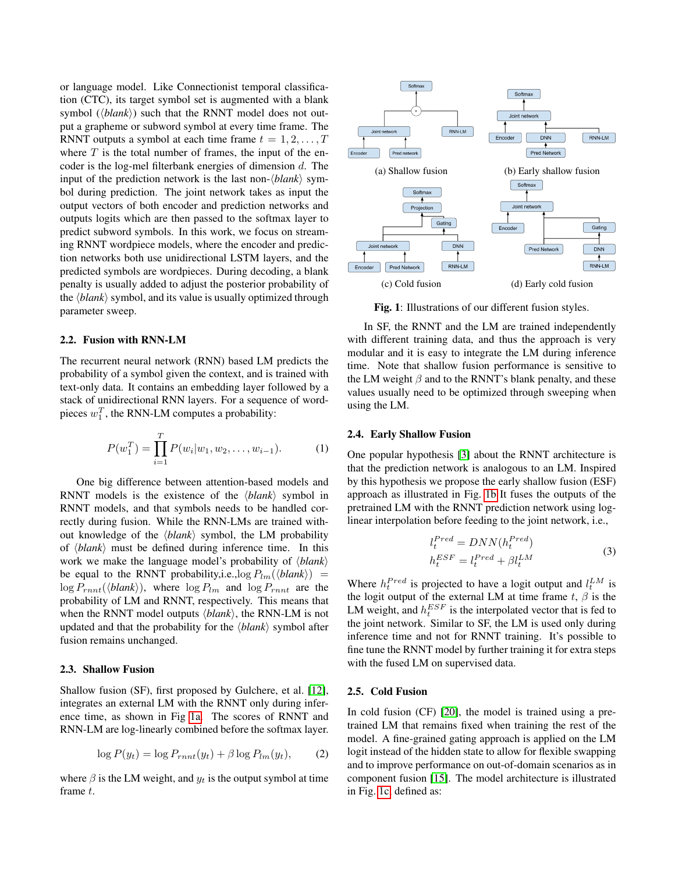or language model. Like Connectionist temporal classification (CTC), its target symbol set is augmented with a blank symbol  $(\langle blank \rangle)$  such that the RNNT model does not output a grapheme or subword symbol at every time frame. The RNNT outputs a symbol at each time frame  $t = 1, 2, \ldots, T$ where  $T$  is the total number of frames, the input of the encoder is the log-mel filterbank energies of dimension d. The input of the prediction network is the last non- $\langle blank \rangle$  symbol during prediction. The joint network takes as input the output vectors of both encoder and prediction networks and outputs logits which are then passed to the softmax layer to predict subword symbols. In this work, we focus on streaming RNNT wordpiece models, where the encoder and prediction networks both use unidirectional LSTM layers, and the predicted symbols are wordpieces. During decoding, a blank penalty is usually added to adjust the posterior probability of the  $\langle blank \rangle$  symbol, and its value is usually optimized through parameter sweep.

### 2.2. Fusion with RNN-LM

The recurrent neural network (RNN) based LM predicts the probability of a symbol given the context, and is trained with text-only data. It contains an embedding layer followed by a stack of unidirectional RNN layers. For a sequence of wordpieces  $w_1^T$ , the RNN-LM computes a probability:

$$
P(w_1^T) = \prod_{i=1}^T P(w_i|w_1, w_2, \dots, w_{i-1}).
$$
 (1)

One big difference between attention-based models and RNNT models is the existence of the  $\langle blank \rangle$  symbol in RNNT models, and that symbols needs to be handled correctly during fusion. While the RNN-LMs are trained without knowledge of the  $\langle blank \rangle$  symbol, the LM probability of  $\langle blank \rangle$  must be defined during inference time. In this work we make the language model's probability of  $\langle blank \rangle$ be equal to the RNNT probability, i.e.,  $\log P_{lm}(\langle blank \rangle)$  =  $\log P_{rnnt}(\langle blank\rangle)$ , where  $\log P_{lm}$  and  $\log P_{rnnt}$  are the probability of LM and RNNT, respectively. This means that when the RNNT model outputs  $\langle blank \rangle$ , the RNN-LM is not updated and that the probability for the  $\langle blank \rangle$  symbol after fusion remains unchanged.

#### 2.3. Shallow Fusion

Shallow fusion (SF), first proposed by Gulchere, et al. [\[12\]](#page-4-11), integrates an external LM with the RNNT only during inference time, as shown in Fig [1a.](#page-1-0) The scores of RNNT and RNN-LM are log-linearly combined before the softmax layer.

$$
\log P(y_t) = \log P_{rnnt}(y_t) + \beta \log P_{lm}(y_t), \qquad (2)
$$

where  $\beta$  is the LM weight, and  $y_t$  is the output symbol at time frame t.

<span id="page-1-0"></span>

Fig. 1: Illustrations of our different fusion styles.

In SF, the RNNT and the LM are trained independently with different training data, and thus the approach is very modular and it is easy to integrate the LM during inference time. Note that shallow fusion performance is sensitive to the LM weight  $\beta$  and to the RNNT's blank penalty, and these values usually need to be optimized through sweeping when using the LM.

### 2.4. Early Shallow Fusion

One popular hypothesis [\[3\]](#page-4-2) about the RNNT architecture is that the prediction network is analogous to an LM. Inspired by this hypothesis we propose the early shallow fusion (ESF) approach as illustrated in Fig. [1b](#page-1-0) It fuses the outputs of the pretrained LM with the RNNT prediction network using loglinear interpolation before feeding to the joint network, i.e.,

$$
l_t^{Pred} = DNN(h_t^{Pred})
$$
  
\n
$$
h_t^{ESF} = l_t^{Pred} + \beta l_t^{LM}
$$
\n(3)

Where  $h_t^{Pred}$  is projected to have a logit output and  $l_t^{LM}$  is the logit output of the external LM at time frame  $t, \beta$  is the LM weight, and  $h_t^{ESF}$  is the interpolated vector that is fed to the joint network. Similar to SF, the LM is used only during inference time and not for RNNT training. It's possible to fine tune the RNNT model by further training it for extra steps with the fused LM on supervised data.

# 2.5. Cold Fusion

In cold fusion (CF) [\[20\]](#page-4-19), the model is trained using a pretrained LM that remains fixed when training the rest of the model. A fine-grained gating approach is applied on the LM logit instead of the hidden state to allow for flexible swapping and to improve performance on out-of-domain scenarios as in component fusion [\[15\]](#page-4-14). The model architecture is illustrated in Fig. [1c,](#page-1-0) defined as: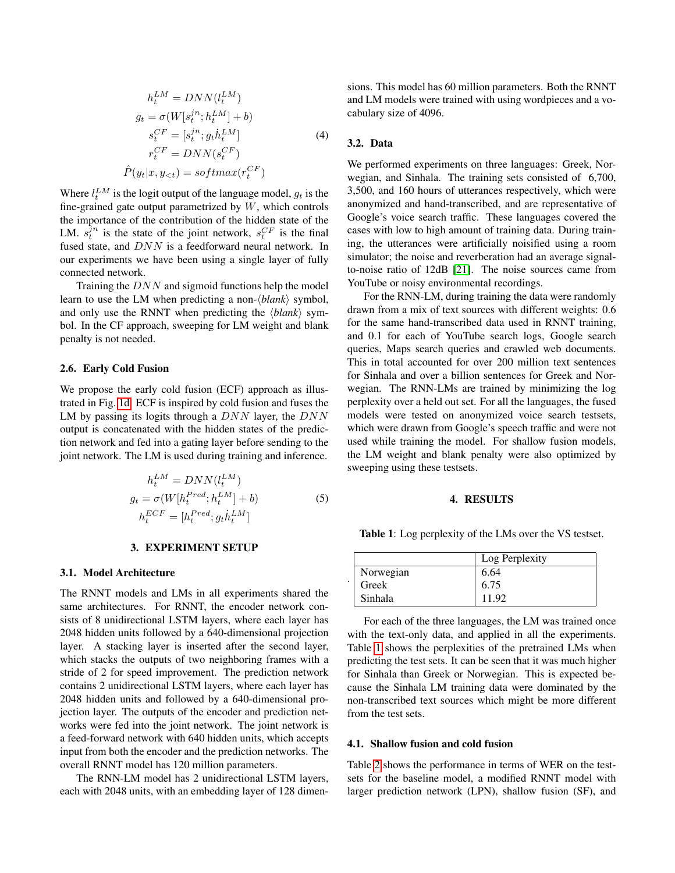$$
h_t^{LM} = DNN(l_t^{LM})
$$
  
\n
$$
g_t = \sigma(W[s_t^{jn}; h_t^{LM}] + b)
$$
  
\n
$$
s_t^{CF} = [s_t^{jn}; g_t \dot{h}_t^{LM}]
$$
  
\n
$$
r_t^{CF} = DNN(s_t^{CF})
$$
  
\n
$$
\hat{P}(y_t|x, y_{lt}) = softmax(r_t^{CF})
$$
\n(4)

Where  $l_t^{LM}$  is the logit output of the language model,  $g_t$  is the fine-grained gate output parametrized by  $W$ , which controls the importance of the contribution of the hidden state of the LM.  $s_t^{\hat{j}n}$  is the state of the joint network,  $s_t^{CF}$  is the final fused state, and DNN is a feedforward neural network. In our experiments we have been using a single layer of fully connected network.

Training the DNN and sigmoid functions help the model learn to use the LM when predicting a non- $\langle blank \rangle$  symbol, and only use the RNNT when predicting the  $\langle blank \rangle$  symbol. In the CF approach, sweeping for LM weight and blank penalty is not needed.

## 2.6. Early Cold Fusion

We propose the early cold fusion (ECF) approach as illustrated in Fig. [1d.](#page-1-0) ECF is inspired by cold fusion and fuses the LM by passing its logits through a  $DNN$  layer, the  $DNN$ output is concatenated with the hidden states of the prediction network and fed into a gating layer before sending to the joint network. The LM is used during training and inference.

$$
h_t^{LM} = DNN(l_t^{LM})
$$
  
\n
$$
g_t = \sigma(W[h_t^{Pred}; h_t^{LM}] + b)
$$
  
\n
$$
h_t^{ECF} = [h_t^{Pred}; g_t h_t^{LM}]
$$
\n(5)

#### 3. EXPERIMENT SETUP

#### <span id="page-2-0"></span>3.1. Model Architecture

The RNNT models and LMs in all experiments shared the same architectures. For RNNT, the encoder network consists of 8 unidirectional LSTM layers, where each layer has 2048 hidden units followed by a 640-dimensional projection layer. A stacking layer is inserted after the second layer, which stacks the outputs of two neighboring frames with a stride of 2 for speed improvement. The prediction network contains 2 unidirectional LSTM layers, where each layer has 2048 hidden units and followed by a 640-dimensional projection layer. The outputs of the encoder and prediction networks were fed into the joint network. The joint network is a feed-forward network with 640 hidden units, which accepts input from both the encoder and the prediction networks. The overall RNNT model has 120 million parameters.

The RNN-LM model has 2 unidirectional LSTM layers, each with 2048 units, with an embedding layer of 128 dimensions. This model has 60 million parameters. Both the RNNT and LM models were trained with using wordpieces and a vocabulary size of 4096.

### 3.2. Data

.

We performed experiments on three languages: Greek, Norwegian, and Sinhala. The training sets consisted of 6,700, 3,500, and 160 hours of utterances respectively, which were anonymized and hand-transcribed, and are representative of Google's voice search traffic. These languages covered the cases with low to high amount of training data. During training, the utterances were artificially noisified using a room simulator; the noise and reverberation had an average signalto-noise ratio of 12dB [\[21\]](#page-4-20). The noise sources came from YouTube or noisy environmental recordings.

For the RNN-LM, during training the data were randomly drawn from a mix of text sources with different weights: 0.6 for the same hand-transcribed data used in RNNT training, and 0.1 for each of YouTube search logs, Google search queries, Maps search queries and crawled web documents. This in total accounted for over 200 million text sentences for Sinhala and over a billion sentences for Greek and Norwegian. The RNN-LMs are trained by minimizing the log perplexity over a held out set. For all the languages, the fused models were tested on anonymized voice search testsets, which were drawn from Google's speech traffic and were not used while training the model. For shallow fusion models, the LM weight and blank penalty were also optimized by sweeping using these testsets.

# 4. RESULTS

<span id="page-2-2"></span><span id="page-2-1"></span>Table 1: Log perplexity of the LMs over the VS testset.

|           | Log Perplexity |
|-----------|----------------|
| Norwegian | 6.64           |
| Greek     | 6.75           |
| Sinhala   | 11.92          |

For each of the three languages, the LM was trained once with the text-only data, and applied in all the experiments. Table [1](#page-2-2) shows the perplexities of the pretrained LMs when predicting the test sets. It can be seen that it was much higher for Sinhala than Greek or Norwegian. This is expected because the Sinhala LM training data were dominated by the non-transcribed text sources which might be more different from the test sets.

### 4.1. Shallow fusion and cold fusion

Table [2](#page-3-0) shows the performance in terms of WER on the testsets for the baseline model, a modified RNNT model with larger prediction network (LPN), shallow fusion (SF), and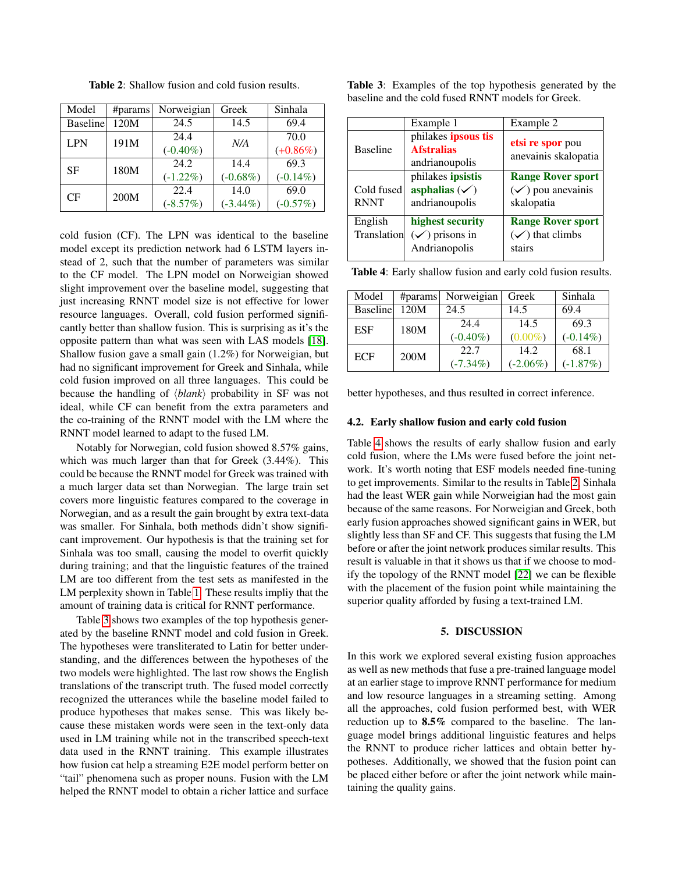<span id="page-3-0"></span>

| Model           | #params | Norweigian  | Greek       | Sinhala     |
|-----------------|---------|-------------|-------------|-------------|
| <b>Baseline</b> | 120M    | 24.5        | 14.5        | 69.4        |
| <b>LPN</b>      | 191M    | 24.4        | N/A         | 70.0        |
|                 |         | $(-0.40\%)$ |             | $(+0.86\%)$ |
| SF              | 180M    | 24.2        | 14.4        | 69.3        |
|                 |         | $(-1.22\%)$ | $(-0.68\%)$ | $(-0.14\%)$ |
| СF              | 200M    | 22.4        | 14.0        | 69.0        |
|                 |         | $(-8.57%)$  | $(-3.44\%)$ | $(-0.57%)$  |

Table 2: Shallow fusion and cold fusion results.

cold fusion (CF). The LPN was identical to the baseline model except its prediction network had 6 LSTM layers instead of 2, such that the number of parameters was similar to the CF model. The LPN model on Norweigian showed slight improvement over the baseline model, suggesting that just increasing RNNT model size is not effective for lower resource languages. Overall, cold fusion performed significantly better than shallow fusion. This is surprising as it's the opposite pattern than what was seen with LAS models [\[18\]](#page-4-17). Shallow fusion gave a small gain (1.2%) for Norweigian, but had no significant improvement for Greek and Sinhala, while cold fusion improved on all three languages. This could be because the handling of  $\langle blank \rangle$  probability in SF was not ideal, while CF can benefit from the extra parameters and the co-training of the RNNT model with the LM where the RNNT model learned to adapt to the fused LM.

Notably for Norwegian, cold fusion showed 8.57% gains, which was much larger than that for Greek (3.44%). This could be because the RNNT model for Greek was trained with a much larger data set than Norwegian. The large train set covers more linguistic features compared to the coverage in Norwegian, and as a result the gain brought by extra text-data was smaller. For Sinhala, both methods didn't show significant improvement. Our hypothesis is that the training set for Sinhala was too small, causing the model to overfit quickly during training; and that the linguistic features of the trained LM are too different from the test sets as manifested in the LM perplexity shown in Table [1.](#page-2-2) These results impliy that the amount of training data is critical for RNNT performance.

Table [3](#page-3-1) shows two examples of the top hypothesis generated by the baseline RNNT model and cold fusion in Greek. The hypotheses were transliterated to Latin for better understanding, and the differences between the hypotheses of the two models were highlighted. The last row shows the English translations of the transcript truth. The fused model correctly recognized the utterances while the baseline model failed to produce hypotheses that makes sense. This was likely because these mistaken words were seen in the text-only data used in LM training while not in the transcribed speech-text data used in the RNNT training. This example illustrates how fusion cat help a streaming E2E model perform better on "tail" phenomena such as proper nouns. Fusion with the LM helped the RNNT model to obtain a richer lattice and surface <span id="page-3-1"></span>Table 3: Examples of the top hypothesis generated by the baseline and the cold fused RNNT models for Greek.

|                           | Example 1                                                       | Example 2                                                              |
|---------------------------|-----------------------------------------------------------------|------------------------------------------------------------------------|
| <b>Baseline</b>           | philakes ipsous tis<br><b>Afstralias</b><br>andrianoupolis      | etsi re spor pou<br>anevainis skalopatia                               |
| Cold fused<br><b>RNNT</b> | philakes ipsistis<br>asphalias $(\checkmark)$<br>andrianoupolis | <b>Range Rover sport</b><br>$(\checkmark)$ pou anevainis<br>skalopatia |
| English<br>Translation    | highest security<br>$(\checkmark)$ prisons in<br>Andrianopolis  | <b>Range Rover sport</b><br>$(\checkmark)$ that climbs<br>stairs       |

<span id="page-3-2"></span>Table 4: Early shallow fusion and early cold fusion results.

| Model           | #params | Norweigian  | Greek       | Sinhala     |
|-----------------|---------|-------------|-------------|-------------|
| <b>Baseline</b> | 120M    | 24.5        | 14.5        | 69.4        |
| <b>ESF</b>      | 180M    | 24.4        | 14.5        | 69.3        |
|                 |         | $(-0.40\%)$ | $(0.00\%)$  | $(-0.14\%)$ |
| <b>ECF</b>      | 200M    | 22.7        | 14.2.       | 68.1        |
|                 |         | $(-7.34\%)$ | $(-2.06\%)$ | $(-1.87%)$  |

better hypotheses, and thus resulted in correct inference.

#### 4.2. Early shallow fusion and early cold fusion

Table [4](#page-3-2) shows the results of early shallow fusion and early cold fusion, where the LMs were fused before the joint network. It's worth noting that ESF models needed fine-tuning to get improvements. Similar to the results in Table [2,](#page-3-0) Sinhala had the least WER gain while Norweigian had the most gain because of the same reasons. For Norweigian and Greek, both early fusion approaches showed significant gains in WER, but slightly less than SF and CF. This suggests that fusing the LM before or after the joint network produces similar results. This result is valuable in that it shows us that if we choose to modify the topology of the RNNT model [\[22\]](#page-4-21) we can be flexible with the placement of the fusion point while maintaining the superior quality afforded by fusing a text-trained LM.

# 5. DISCUSSION

In this work we explored several existing fusion approaches as well as new methods that fuse a pre-trained language model at an earlier stage to improve RNNT performance for medium and low resource languages in a streaming setting. Among all the approaches, cold fusion performed best, with WER reduction up to 8.5% compared to the baseline. The language model brings additional linguistic features and helps the RNNT to produce richer lattices and obtain better hypotheses. Additionally, we showed that the fusion point can be placed either before or after the joint network while maintaining the quality gains.